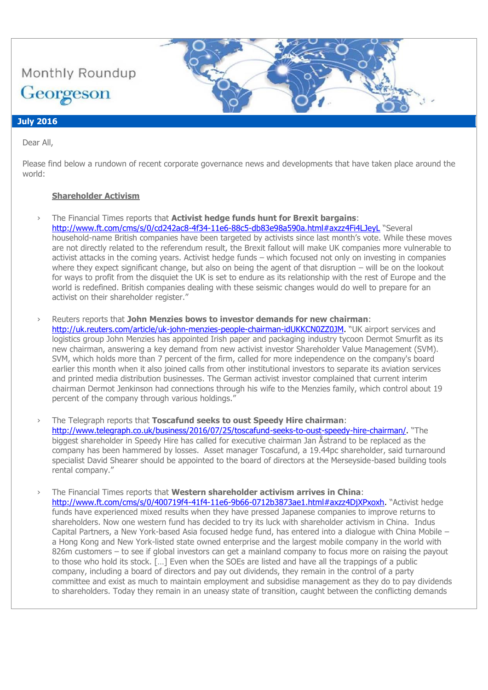

### **July 2016**

Dear All,

Please find below a rundown of recent corporate governance news and developments that have taken place around the world:

### **Shareholder Activism**

- › The Financial Times reports that **Activist hedge funds hunt for Brexit bargains**:
	- <http://www.ft.com/cms/s/0/cd242ac8-4f34-11e6-88c5-db83e98a590a.html#axzz4Fi4LJeyL> "Several household-name British companies have been targeted by activists since last month's vote. While these moves are not directly related to the referendum result, the Brexit fallout will make UK companies more vulnerable to activist attacks in the coming years. Activist hedge funds – which focused not only on investing in companies where they expect significant change, but also on being the agent of that disruption – will be on the lookout for ways to profit from the disquiet the UK is set to endure as its relationship with the rest of Europe and the world is redefined. British companies dealing with these seismic changes would do well to prepare for an activist on their shareholder register."
- › Reuters reports that **John Menzies bows to investor demands for new chairman**: [http://uk.reuters.com/article/uk-john-menzies-people-chairman-idUKKCN0ZZ0JM.](http://uk.reuters.com/article/uk-john-menzies-people-chairman-idUKKCN0ZZ0JM) "UK airport services and logistics group John Menzies has appointed Irish paper and packaging industry tycoon Dermot Smurfit as its new chairman, answering a key demand from new activist investor Shareholder Value Management (SVM). SVM, which holds more than 7 percent of the firm, called for more independence on the company's board earlier this month when it also joined calls from other institutional investors to separate its aviation services and printed media distribution businesses. The German activist investor complained that current interim chairman Dermot Jenkinson had connections through his wife to the Menzies family, which control about 19 percent of the company through various holdings."
- › The Telegraph reports that **Toscafund seeks to oust Speedy Hire chairman**: [http://www.telegraph.co.uk/business/2016/07/25/toscafund-seeks-to-oust-speedy-hire-chairman/.](http://www.telegraph.co.uk/business/2016/07/25/toscafund-seeks-to-oust-speedy-hire-chairman/) "The biggest shareholder in Speedy Hire has called for executive chairman Jan Åstrand to be replaced as the company has been hammered by losses. Asset manager Toscafund, a 19.44pc shareholder, said turnaround specialist David Shearer should be appointed to the board of directors at the Merseyside-based building tools rental company."
- › The Financial Times reports that **Western shareholder activism arrives in China**: [http://www.ft.com/cms/s/0/400719f4-41f4-11e6-9b66-0712b3873ae1.html#axzz4DjXPxoxh.](http://www.ft.com/cms/s/0/400719f4-41f4-11e6-9b66-0712b3873ae1.html#axzz4DjXPxoxh) "Activist hedge funds have experienced mixed results when they have pressed Japanese companies to improve returns to shareholders. Now one western fund has decided to try its luck with shareholder activism in China. Indus Capital Partners, a New York-based Asia focused hedge fund, has entered into a dialogue with China Mobile – a Hong Kong and New York-listed state owned enterprise and the largest mobile company in the world with 826m customers – to see if global investors can get a mainland company to focus more on raising the payout to those who hold its stock. […] Even when the SOEs are listed and have all the trappings of a public company, including a board of directors and pay out dividends, they remain in the control of a party committee and exist as much to maintain employment and subsidise management as they do to pay dividends to shareholders. Today they remain in an uneasy state of transition, caught between the conflicting demands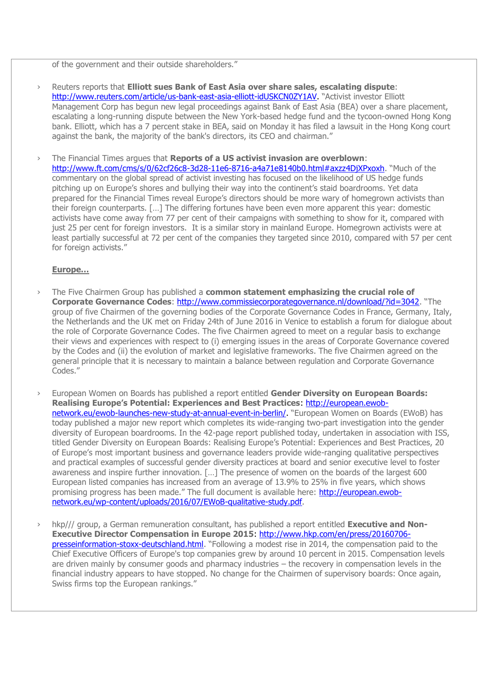of the government and their outside shareholders."

- › Reuters reports that **Elliott sues Bank of East Asia over share sales, escalating dispute**: [http://www.reuters.com/article/us-bank-east-asia-elliott-idUSKCN0ZY1AV.](http://www.reuters.com/article/us-bank-east-asia-elliott-idUSKCN0ZY1AV) "Activist investor Elliott Management Corp has begun new legal proceedings against Bank of East Asia (BEA) over a share placement, escalating a long-running dispute between the New York-based hedge fund and the tycoon-owned Hong Kong bank. Elliott, which has a 7 percent stake in BEA, said on Monday it has filed a lawsuit in the Hong Kong court against the bank, the majority of the bank's directors, its CEO and chairman."
- › The Financial Times argues that **Reports of a US activist invasion are overblown**: <http://www.ft.com/cms/s/0/62cf26c8-3d28-11e6-8716-a4a71e8140b0.html#axzz4DjXPxoxh>. "Much of the commentary on the global spread of activist investing has focused on the likelihood of US hedge funds pitching up on Europe's shores and bullying their way into the continent's staid boardrooms. Yet data prepared for the Financial Times reveal Europe's directors should be more wary of homegrown activists than their foreign counterparts. […] The differing fortunes have been even more apparent this year: domestic activists have come away from 77 per cent of their campaigns with something to show for it, compared with just 25 per cent for foreign investors. It is a similar story in mainland Europe. Homegrown activists were at least partially successful at 72 per cent of the companies they targeted since 2010, compared with 57 per cent for foreign activists."

#### **Europe…**

- › The Five Chairmen Group has published a **common statement emphasizing the crucial role of Corporate Governance Codes**:<http://www.commissiecorporategovernance.nl/download/?id=3042>. "The group of five Chairmen of the governing bodies of the Corporate Governance Codes in France, Germany, Italy, the Netherlands and the UK met on Friday 24th of June 2016 in Venice to establish a forum for dialogue about the role of Corporate Governance Codes. The five Chairmen agreed to meet on a regular basis to exchange their views and experiences with respect to (i) emerging issues in the areas of Corporate Governance covered by the Codes and (ii) the evolution of market and legislative frameworks. The five Chairmen agreed on the general principle that it is necessary to maintain a balance between regulation and Corporate Governance Codes."
- › European Women on Boards has published a report entitled **Gender Diversity on European Boards: Realising Europe's Potential: Experiences and Best Practices**: [http://european.ewob](http://european.ewob-network.eu/ewob-launches-new-study-at-annual-event-in-berlin/)[network.eu/ewob-launches-new-study-at-annual-event-in-berlin/.](http://european.ewob-network.eu/ewob-launches-new-study-at-annual-event-in-berlin/) "European Women on Boards (EWoB) has today published a major new report which completes its wide-ranging two-part investigation into the gender diversity of European boardrooms. In the 42-page report published today, undertaken in association with ISS, titled Gender Diversity on European Boards: Realising Europe's Potential: Experiences and Best Practices, 20 of Europe's most important business and governance leaders provide wide-ranging qualitative perspectives and practical examples of successful gender diversity practices at board and senior executive level to foster awareness and inspire further innovation. […] The presence of women on the boards of the largest 600 European listed companies has increased from an average of 13.9% to 25% in five years, which shows promising progress has been made." The full document is available here: [http://european.ewob](http://european.ewob-network.eu/wp-content/uploads/2016/07/EWoB-qualitative-study.pdf)[network.eu/wp-content/uploads/2016/07/EWoB-qualitative-study.pdf.](http://european.ewob-network.eu/wp-content/uploads/2016/07/EWoB-qualitative-study.pdf)
- hkp/// group, a German remuneration consultant, has published a report entitled **Executive and Non-Executive Director Compensation in Europe 2015**: [http://www.hkp.com/en/press/20160706](http://www.hkp.com/en/press/20160706-presseinformation-stoxx-deutschland.html) [presseinformation-stoxx-deutschland.html](http://www.hkp.com/en/press/20160706-presseinformation-stoxx-deutschland.html). "Following a modest rise in 2014, the compensation paid to the Chief Executive Officers of Europe's top companies grew by around 10 percent in 2015. Compensation levels are driven mainly by consumer goods and pharmacy industries – the recovery in compensation levels in the financial industry appears to have stopped. No change for the Chairmen of supervisory boards: Once again, Swiss firms top the European rankings."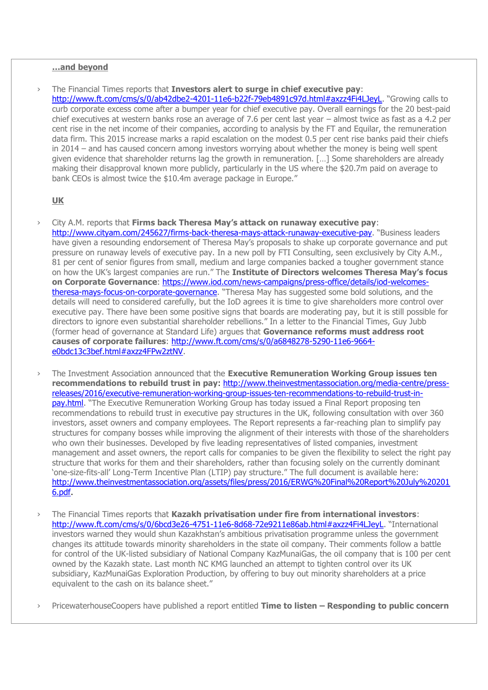### **…and beyond**

› The Financial Times reports that **Investors alert to surge in chief executive pay**: <http://www.ft.com/cms/s/0/ab42dbe2-4201-11e6-b22f-79eb4891c97d.html#axzz4Fi4LJeyL>. "Growing calls to curb corporate excess come after a bumper year for chief executive pay. Overall earnings for the 20 best-paid chief executives at western banks rose an average of 7.6 per cent last year – almost twice as fast as a 4.2 per cent rise in the net income of their companies, according to analysis by the FT and Equilar, the remuneration data firm. This 2015 increase marks a rapid escalation on the modest 0.5 per cent rise banks paid their chiefs in 2014 – and has caused concern among investors worrying about whether the money is being well spent given evidence that shareholder returns lag the growth in remuneration. […] Some shareholders are already making their disapproval known more publicly, particularly in the US where the \$20.7m paid on average to bank CEOs is almost twice the \$10.4m average package in Europe."

#### **UK**

- › City A.M. reports that **Firms back Theresa May's attack on runaway executive pay**: [http://www.cityam.com/245627/firms-back-theresa-mays-attack-runaway-executive-pay.](http://www.cityam.com/245627/firms-back-theresa-mays-attack-runaway-executive-pay) "Business leaders have given a resounding endorsement of Theresa May's proposals to shake up corporate governance and put pressure on runaway levels of executive pay. In a new poll by FTI Consulting, seen exclusively by City A.M., 81 per cent of senior figures from small, medium and large companies backed a tougher government stance on how the UK's largest companies are run." The **Institute of Directors welcomes Theresa May's focus on Corporate Governance**: [https://www.iod.com/news-campaigns/press-office/details/iod-welcomes](https://www.iod.com/news-campaigns/press-office/details/iod-welcomes-theresa-mays-focus-on-corporate-governance)[theresa-mays-focus-on-corporate-governance](https://www.iod.com/news-campaigns/press-office/details/iod-welcomes-theresa-mays-focus-on-corporate-governance). "Theresa May has suggested some bold solutions, and the details will need to considered carefully, but the IoD agrees it is time to give shareholders more control over executive pay. There have been some positive signs that boards are moderating pay, but it is still possible for directors to ignore even substantial shareholder rebellions." In a letter to the Financial Times, Guy Jubb (former head of governance at Standard Life) argues that **Governance reforms must address root**  causes of corporate failures: [http://www.ft.com/cms/s/0/a6848278-5290-11e6-9664](http://www.ft.com/cms/s/0/a6848278-5290-11e6-9664-e0bdc13c3bef.html#axzz4FPw2ztNV) [e0bdc13c3bef.html#axzz4FPw2ztNV.](http://www.ft.com/cms/s/0/a6848278-5290-11e6-9664-e0bdc13c3bef.html#axzz4FPw2ztNV)
- › The Investment Association announced that the **Executive Remuneration Working Group issues ten recommendations to rebuild trust in pay**: [http://www.theinvestmentassociation.org/media-centre/press](http://www.theinvestmentassociation.org/media-centre/press-releases/2016/executive-remuneration-working-group-issues-ten-recommendations-to-rebuild-trust-in-pay.html)[releases/2016/executive-remuneration-working-group-issues-ten-recommendations-to-rebuild-trust-in](http://www.theinvestmentassociation.org/media-centre/press-releases/2016/executive-remuneration-working-group-issues-ten-recommendations-to-rebuild-trust-in-pay.html)[pay.html](http://www.theinvestmentassociation.org/media-centre/press-releases/2016/executive-remuneration-working-group-issues-ten-recommendations-to-rebuild-trust-in-pay.html). "The Executive Remuneration Working Group has today issued a Final Report proposing ten recommendations to rebuild trust in executive pay structures in the UK, following consultation with over 360 investors, asset owners and company employees. The Report represents a far-reaching plan to simplify pay structures for company bosses while improving the alignment of their interests with those of the shareholders who own their businesses. Developed by five leading representatives of listed companies, investment management and asset owners, the report calls for companies to be given the flexibility to select the right pay structure that works for them and their shareholders, rather than focusing solely on the currently dominant 'one-size-fits-all' Long-Term Incentive Plan (LTIP) pay structure." The full document is available here: [http://www.theinvestmentassociation.org/assets/files/press/2016/ERWG%20Final%20Report%20July%20201](http://www.theinvestmentassociation.org/assets/files/press/2016/ERWG%20Final%20Report%20July%202016.pdf) [6.pdf.](http://www.theinvestmentassociation.org/assets/files/press/2016/ERWG%20Final%20Report%20July%202016.pdf)
- › The Financial Times reports that **Kazakh privatisation under fire from international investors**: <http://www.ft.com/cms/s/0/6bcd3e26-4751-11e6-8d68-72e9211e86ab.html#axzz4Fi4LJeyL>. "International investors warned they would shun Kazakhstan's ambitious privatisation programme unless the government changes its attitude towards minority shareholders in the state oil company. Their comments follow a battle for control of the UK-listed subsidiary of National Company KazMunaiGas, the oil company that is 100 per cent owned by the Kazakh state. Last month NC KMG launched an attempt to tighten control over its UK subsidiary, KazMunaiGas Exploration Production, by offering to buy out minority shareholders at a price equivalent to the cash on its balance sheet."

› PricewaterhouseCoopers have published a report entitled **Time to listen – Responding to public concern**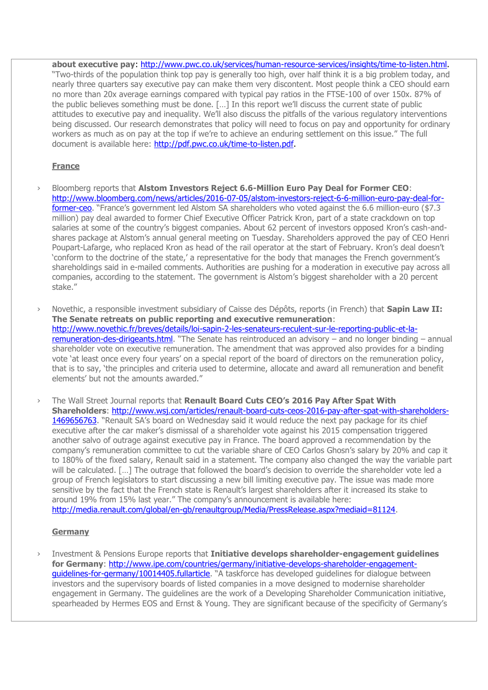**about executive pay**: [http://www.pwc.co.uk/services/human-resource-services/insights/time-to-listen.html.](http://www.pwc.co.uk/services/human-resource-services/insights/time-to-listen.html) "Two-thirds of the population think top pay is generally too high, over half think it is a big problem today, and nearly three quarters say executive pay can make them very discontent. Most people think a CEO should earn no more than 20x average earnings compared with typical pay ratios in the FTSE-100 of over 150x. 87% of the public believes something must be done. […] In this report we'll discuss the current state of public attitudes to executive pay and inequality. We'll also discuss the pitfalls of the various regulatory interventions being discussed. Our research demonstrates that policy will need to focus on pay and opportunity for ordinary workers as much as on pay at the top if we're to achieve an enduring settlement on this issue." The full document is available here: [http://pdf.pwc.co.uk/time-to-listen.pdf.](http://pdf.pwc.co.uk/time-to-listen.pdf)

# **France**

- › Bloomberg reports that **Alstom Investors Reject 6.6-Million Euro Pay Deal for Former CEO**: [http://www.bloomberg.com/news/articles/2016-07-05/alstom-investors-reject-6-6-million-euro-pay-deal-for](http://www.bloomberg.com/news/articles/2016-07-05/alstom-investors-reject-6-6-million-euro-pay-deal-for-former-ceo)[former-ceo](http://www.bloomberg.com/news/articles/2016-07-05/alstom-investors-reject-6-6-million-euro-pay-deal-for-former-ceo). "France's government led Alstom SA shareholders who voted against the 6.6 million-euro (\$7.3 million) pay deal awarded to former Chief Executive Officer Patrick Kron, part of a state crackdown on top salaries at some of the country's biggest companies. About 62 percent of investors opposed Kron's cash-andshares package at Alstom's annual general meeting on Tuesday. Shareholders approved the pay of CEO Henri Poupart-Lafarge, who replaced Kron as head of the rail operator at the start of February. Kron's deal doesn't 'conform to the doctrine of the state,' a representative for the body that manages the French government's shareholdings said in e-mailed comments. Authorities are pushing for a moderation in executive pay across all companies, according to the statement. The government is Alstom's biggest shareholder with a 20 percent stake."
- › Novethic, a responsible investment subsidiary of Caisse des Dépôts, reports (in French) that **Sapin Law II: The Senate retreats on public reporting and executive remuneration**: [http://www.novethic.fr/breves/details/loi-sapin-2-les-senateurs-reculent-sur-le-reporting-public-et-la](http://www.novethic.fr/breves/details/loi-sapin-2-les-senateurs-reculent-sur-le-reporting-public-et-la-remuneration-des-dirigeants.html)[remuneration-des-dirigeants.html](http://www.novethic.fr/breves/details/loi-sapin-2-les-senateurs-reculent-sur-le-reporting-public-et-la-remuneration-des-dirigeants.html). "The Senate has reintroduced an advisory – and no longer binding – annual shareholder vote on executive remuneration. The amendment that was approved also provides for a binding vote 'at least once every four years' on a special report of the board of directors on the remuneration policy, that is to say, 'the principles and criteria used to determine, allocate and award all remuneration and benefit elements' but not the amounts awarded."
- › The Wall Street Journal reports that **Renault Board Cuts CEO's 2016 Pay After Spat With Shareholders**: [http://www.wsj.com/articles/renault-board-cuts-ceos-2016-pay-after-spat-with-shareholders-](http://www.wsj.com/articles/renault-board-cuts-ceos-2016-pay-after-spat-with-shareholders-1469656763)[1469656763](http://www.wsj.com/articles/renault-board-cuts-ceos-2016-pay-after-spat-with-shareholders-1469656763). "Renault SA's board on Wednesday said it would reduce the next pay package for its chief executive after the car maker's dismissal of a shareholder vote against his 2015 compensation triggered another salvo of outrage against executive pay in France. The board approved a recommendation by the company's remuneration committee to cut the variable share of CEO Carlos Ghosn's salary by 20% and cap it to 180% of the fixed salary, Renault said in a statement. The company also changed the way the variable part will be calculated. […] The outrage that followed the board's decision to override the shareholder vote led a group of French legislators to start discussing a new bill limiting executive pay. The issue was made more sensitive by the fact that the French state is Renault's largest shareholders after it increased its stake to around 19% from 15% last year." The company's announcement is available here: [http://media.renault.com/global/en-gb/renaultgroup/Media/PressRelease.aspx?mediaid=81124.](http://media.renault.com/global/en-gb/renaultgroup/Media/PressRelease.aspx?mediaid=81124)

# **Germany**

› Investment & Pensions Europe reports that **Initiative develops shareholder-engagement guidelines for Germany**: [http://www.ipe.com/countries/germany/initiative-develops-shareholder-engagement](http://www.ipe.com/countries/germany/initiative-develops-shareholder-engagement-guidelines-for-germany/10014405.fullarticle)[guidelines-for-germany/10014405.fullarticle](http://www.ipe.com/countries/germany/initiative-develops-shareholder-engagement-guidelines-for-germany/10014405.fullarticle). "A taskforce has developed guidelines for dialogue between investors and the supervisory boards of listed companies in a move designed to modernise shareholder engagement in Germany. The guidelines are the work of a Developing Shareholder Communication initiative, spearheaded by Hermes EOS and Ernst & Young. They are significant because of the specificity of Germany's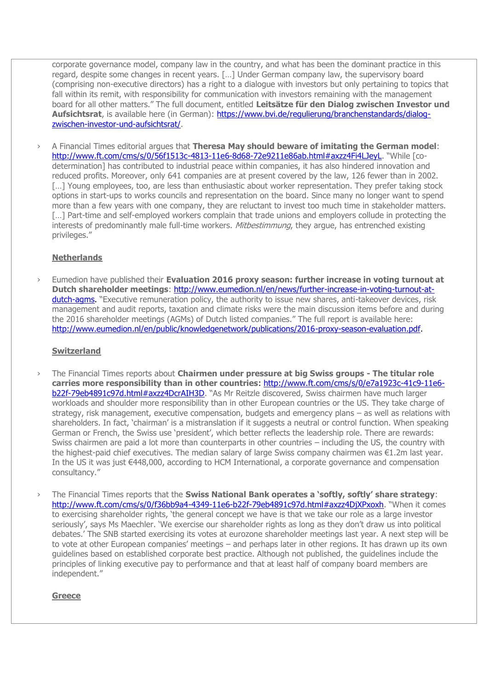corporate governance model, company law in the country, and what has been the dominant practice in this regard, despite some changes in recent years. […] Under German company law, the supervisory board (comprising non-executive directors) has a right to a dialogue with investors but only pertaining to topics that fall within its remit, with responsibility for communication with investors remaining with the management board for all other matters." The full document, entitled **Leitsätze für den Dialog zwischen Investor und Aufsichtsrat**, is available here (in German): [https://www.bvi.de/regulierung/branchenstandards/dialog](https://www.bvi.de/regulierung/branchenstandards/dialog-zwischen-investor-und-aufsichtsrat/)[zwischen-investor-und-aufsichtsrat/.](https://www.bvi.de/regulierung/branchenstandards/dialog-zwischen-investor-und-aufsichtsrat/)

› A Financial Times editorial argues that **Theresa May should beware of imitating the German model**: <http://www.ft.com/cms/s/0/56f1513c-4813-11e6-8d68-72e9211e86ab.html#axzz4Fi4LJeyL>. "While [codetermination] has contributed to industrial peace within companies, it has also hindered innovation and reduced profits. Moreover, only 641 companies are at present covered by the law, 126 fewer than in 2002. [...] Young employees, too, are less than enthusiastic about worker representation. They prefer taking stock options in start-ups to works councils and representation on the board. Since many no longer want to spend more than a few years with one company, they are reluctant to invest too much time in stakeholder matters. [...] Part-time and self-employed workers complain that trade unions and employers collude in protecting the interests of predominantly male full-time workers. Mitbestimmung, they arque, has entrenched existing privileges."

# **Netherlands**

› Eumedion have published their **Evaluation 2016 proxy season: further increase in voting turnout at Dutch shareholder meetings**: [http://www.eumedion.nl/en/news/further-increase-in-voting-turnout-at](http://www.eumedion.nl/en/news/further-increase-in-voting-turnout-at-dutch-agms)[dutch-agms.](http://www.eumedion.nl/en/news/further-increase-in-voting-turnout-at-dutch-agms) "Executive remuneration policy, the authority to issue new shares, anti-takeover devices, risk management and audit reports, taxation and climate risks were the main discussion items before and during the 2016 shareholder meetings (AGMs) of Dutch listed companies." The full report is available here: [http://www.eumedion.nl/en/public/knowledgenetwork/publications/2016-proxy-season-evaluation.pdf.](http://www.eumedion.nl/en/public/knowledgenetwork/publications/2016-proxy-season-evaluation.pdf)

### **Switzerland**

- › The Financial Times reports about **Chairmen under pressure at big Swiss groups - The titular role carries more responsibility than in other countries**: [http://www.ft.com/cms/s/0/e7a1923c-41c9-11e6](http://www.ft.com/cms/s/0/e7a1923c-41c9-11e6-b22f-79eb4891c97d.html#axzz4DcrAIH3D) [b22f-79eb4891c97d.html#axzz4DcrAIH3D](http://www.ft.com/cms/s/0/e7a1923c-41c9-11e6-b22f-79eb4891c97d.html#axzz4DcrAIH3D). "As Mr Reitzle discovered, Swiss chairmen have much larger workloads and shoulder more responsibility than in other European countries or the US. They take charge of strategy, risk management, executive compensation, budgets and emergency plans – as well as relations with shareholders. In fact, 'chairman' is a mistranslation if it suggests a neutral or control function. When speaking German or French, the Swiss use 'president', which better reflects the leadership role. There are rewards: Swiss chairmen are paid a lot more than counterparts in other countries – including the US, the country with the highest-paid chief executives. The median salary of large Swiss company chairmen was €1.2m last year. In the US it was just €448,000, according to HCM International, a corporate governance and compensation consultancy."
- › The Financial Times reports that the **Swiss National Bank operates a 'softly, softly' share strategy**: <http://www.ft.com/cms/s/0/f36bb9a4-4349-11e6-b22f-79eb4891c97d.html#axzz4DjXPxoxh>. "When it comes to exercising shareholder rights, 'the general concept we have is that we take our role as a large investor seriously', says Ms Maechler. 'We exercise our shareholder rights as long as they don't draw us into political debates.' The SNB started exercising its votes at eurozone shareholder meetings last year. A next step will be to vote at other European companies' meetings – and perhaps later in other regions. It has drawn up its own guidelines based on established corporate best practice. Although not published, the guidelines include the principles of linking executive pay to performance and that at least half of company board members are independent."

### **Greece**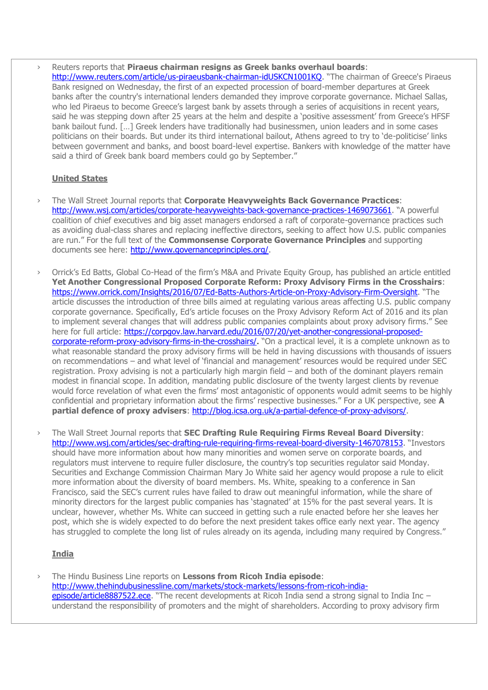› Reuters reports that **Piraeus chairman resigns as Greek banks overhaul boards**: <http://www.reuters.com/article/us-piraeusbank-chairman-idUSKCN1001KQ>. "The chairman of Greece's Piraeus Bank resigned on Wednesday, the first of an expected procession of board-member departures at Greek banks after the country's international lenders demanded they improve corporate governance. Michael Sallas, who led Piraeus to become Greece's largest bank by assets through a series of acquisitions in recent years, said he was stepping down after 25 years at the helm and despite a 'positive assessment' from Greece's HFSF bank bailout fund. […] Greek lenders have traditionally had businessmen, union leaders and in some cases politicians on their boards. But under its third international bailout, Athens agreed to try to 'de-politicise' links between government and banks, and boost board-level expertise. Bankers with knowledge of the matter have said a third of Greek bank board members could go by September."

# **United States**

- › The Wall Street Journal reports that **Corporate Heavyweights Back Governance Practices**: [http://www.wsj.com/articles/corporate-heavyweights-back-governance-practices-1469073661.](http://www.wsj.com/articles/corporate-heavyweights-back-governance-practices-1469073661) "A powerful coalition of chief executives and big asset managers endorsed a raft of corporate-governance practices such as avoiding dual-class shares and replacing ineffective directors, seeking to affect how U.S. public companies are run." For the full text of the **Commonsense Corporate Governance Principles** and supporting documents see here: [http://www.governanceprinciples.org/.](http://www.governanceprinciples.org/)
- › Orrick's Ed Batts, Global Co-Head of the firm's M&A and Private Equity Group, has published an article entitled **Yet Another Congressional Proposed Corporate Reform: Proxy Advisory Firms in the Crosshairs**: <https://www.orrick.com/Insights/2016/07/Ed-Batts-Authors-Article-on-Proxy-Advisory-Firm-Oversight>. "The article discusses the introduction of three bills aimed at regulating various areas affecting U.S. public company corporate governance. Specifically, Ed's article focuses on the Proxy Advisory Reform Act of 2016 and its plan to implement several changes that will address public companies complaints about proxy advisory firms." See here for full article: [https://corpgov.law.harvard.edu/2016/07/20/yet-another-congressional-proposed](https://corpgov.law.harvard.edu/2016/07/20/yet-another-congressional-proposed-corporate-reform-proxy-advisory-firms-in-the-crosshairs/)[corporate-reform-proxy-advisory-firms-in-the-crosshairs/.](https://corpgov.law.harvard.edu/2016/07/20/yet-another-congressional-proposed-corporate-reform-proxy-advisory-firms-in-the-crosshairs/) "On a practical level, it is a complete unknown as to what reasonable standard the proxy advisory firms will be held in having discussions with thousands of issuers on recommendations – and what level of 'financial and management' resources would be required under SEC registration. Proxy advising is not a particularly high margin field – and both of the dominant players remain modest in financial scope. In addition, mandating public disclosure of the twenty largest clients by revenue would force revelation of what even the firms' most antagonistic of opponents would admit seems to be highly confidential and proprietary information about the firms' respective businesses." For a UK perspective, see **A partial defence of proxy advisers**: [http://blog.icsa.org.uk/a-partial-defence-of-proxy-advisors/.](http://blog.icsa.org.uk/a-partial-defence-of-proxy-advisors/)
- › The Wall Street Journal reports that **SEC Drafting Rule Requiring Firms Reveal Board Diversity**: <http://www.wsj.com/articles/sec-drafting-rule-requiring-firms-reveal-board-diversity-1467078153>. "Investors should have more information about how many minorities and women serve on corporate boards, and regulators must intervene to require fuller disclosure, the country's top securities regulator said Monday. Securities and Exchange Commission Chairman Mary Jo White said her agency would propose a rule to elicit more information about the diversity of board members. Ms. White, speaking to a conference in San Francisco, said the SEC's current rules have failed to draw out meaningful information, while the share of minority directors for the largest public companies has 'stagnated' at 15% for the past several years. It is unclear, however, whether Ms. White can succeed in getting such a rule enacted before her she leaves her post, which she is widely expected to do before the next president takes office early next year. The agency has struggled to complete the long list of rules already on its agenda, including many required by Congress."

# **India**

› The Hindu Business Line reports on **Lessons from Ricoh India episode**: [http://www.thehindubusinessline.com/markets/stock-markets/lessons-from-ricoh-india](http://www.thehindubusinessline.com/markets/stock-markets/lessons-from-ricoh-india-episode/article8887522.ece)[episode/article8887522.ece](http://www.thehindubusinessline.com/markets/stock-markets/lessons-from-ricoh-india-episode/article8887522.ece). "The recent developments at Ricoh India send a strong signal to India Inc – understand the responsibility of promoters and the might of shareholders. According to proxy advisory firm